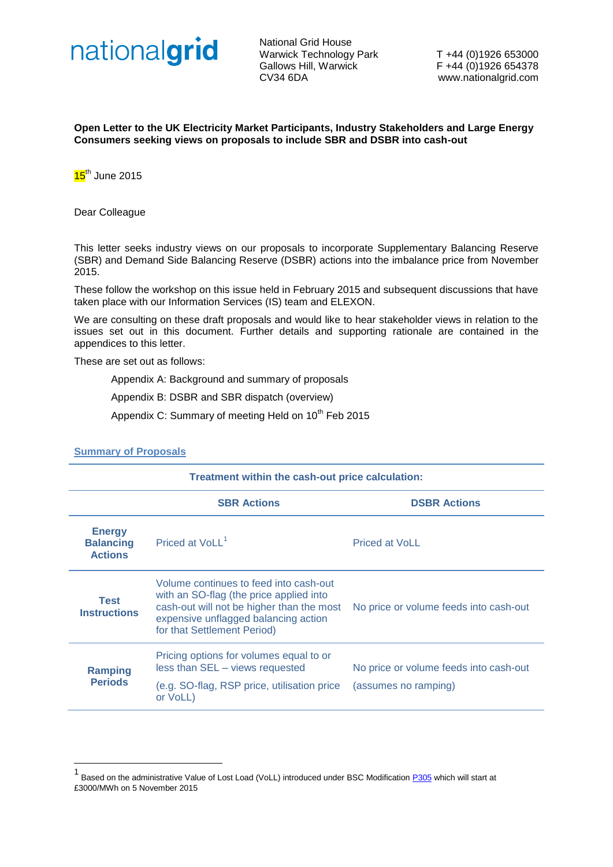

National Grid House Warwick Technology Park T +44 (0)1926 653000 Gallows Hill, Warwick F +44 (0)1926 654378 CV34 6DA www.nationalgrid.com

# **Open Letter to the UK Electricity Market Participants, Industry Stakeholders and Large Energy Consumers seeking views on proposals to include SBR and DSBR into cash-out**



Dear Colleague

This letter seeks industry views on our proposals to incorporate Supplementary Balancing Reserve (SBR) and Demand Side Balancing Reserve (DSBR) actions into the imbalance price from November 2015.

These follow the workshop on this issue held in February 2015 and subsequent discussions that have taken place with our Information Services (IS) team and ELEXON.

We are consulting on these draft proposals and would like to hear stakeholder views in relation to the issues set out in this document. Further details and supporting rationale are contained in the appendices to this letter.

These are set out as follows:

Appendix A: Background and summary of proposals

Appendix B: DSBR and SBR dispatch (overview)

Appendix C: Summary of meeting Held on 10<sup>th</sup> Feb 2015

### **Summary of Proposals**

<u>.</u>

# **Treatment within the cash-out price calculation:**

|                                                     | <b>SBR Actions</b>                                                                                                                                                                                    | <b>DSBR Actions</b>                                            |
|-----------------------------------------------------|-------------------------------------------------------------------------------------------------------------------------------------------------------------------------------------------------------|----------------------------------------------------------------|
| <b>Energy</b><br><b>Balancing</b><br><b>Actions</b> | Priced at VoLL <sup>1</sup>                                                                                                                                                                           | Priced at VoLL                                                 |
| <b>Test</b><br><b>Instructions</b>                  | Volume continues to feed into cash-out<br>with an SO-flag (the price applied into<br>cash-out will not be higher than the most<br>expensive unflagged balancing action<br>for that Settlement Period) | No price or volume feeds into cash-out                         |
| <b>Ramping</b><br><b>Periods</b>                    | Pricing options for volumes equal to or<br>less than SEL - views requested<br>(e.g. SO-flag, RSP price, utilisation price<br>or VoLL)                                                                 | No price or volume feeds into cash-out<br>(assumes no ramping) |

<sup>&</sup>lt;sup>1</sup> Based on the administrative Value of Lost Load (VoLL) introduced under BSC Modification **P305** which will start at £3000/MWh on 5 November 2015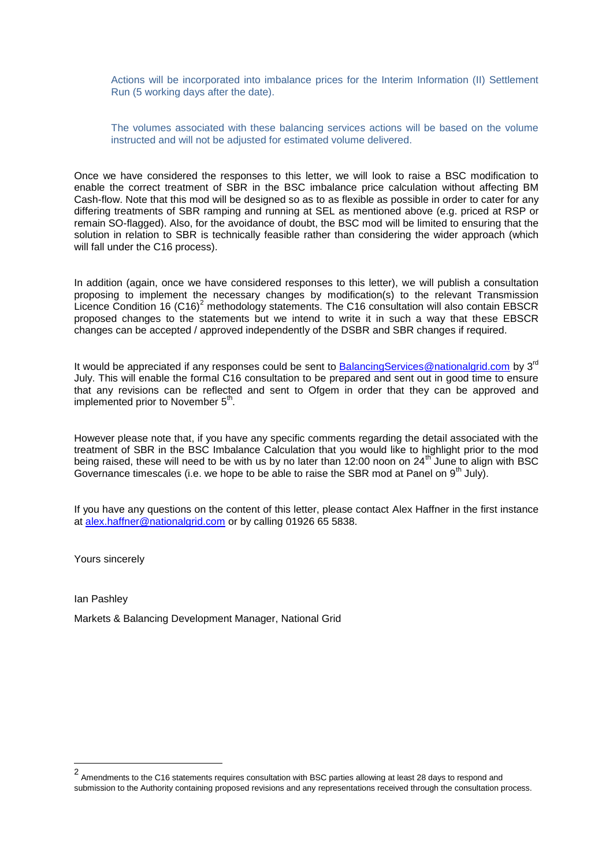Actions will be incorporated into imbalance prices for the Interim Information (II) Settlement Run (5 working days after the date).

The volumes associated with these balancing services actions will be based on the volume instructed and will not be adjusted for estimated volume delivered.

Once we have considered the responses to this letter, we will look to raise a BSC modification to enable the correct treatment of SBR in the BSC imbalance price calculation without affecting BM Cash-flow. Note that this mod will be designed so as to as flexible as possible in order to cater for any differing treatments of SBR ramping and running at SEL as mentioned above (e.g. priced at RSP or remain SO-flagged). Also, for the avoidance of doubt, the BSC mod will be limited to ensuring that the solution in relation to SBR is technically feasible rather than considering the wider approach (which will fall under the C16 process).

In addition (again, once we have considered responses to this letter), we will publish a consultation proposing to implement the necessary changes by modification(s) to the relevant Transmission Licence Condition 16 (C16)<sup>2</sup> methodology statements. The C16 consultation will also contain EBSCR proposed changes to the statements but we intend to write it in such a way that these EBSCR changes can be accepted / approved independently of the DSBR and SBR changes if required.

It would be appreciated if any responses could be sent to **BalancingServices@nationalgrid.com** by 3<sup>rd</sup> July. This will enable the formal C16 consultation to be prepared and sent out in good time to ensure that any revisions can be reflected and sent to Ofgem in order that they can be approved and implemented prior to November 5<sup>th</sup>.

However please note that, if you have any specific comments regarding the detail associated with the treatment of SBR in the BSC Imbalance Calculation that you would like to highlight prior to the mod being raised, these will need to be with us by no later than 12:00 noon on 24<sup>th</sup> June to align with BSC Governance timescales (i.e. we hope to be able to raise the SBR mod at Panel on  $9<sup>th</sup>$  July).

If you have any questions on the content of this letter, please contact Alex Haffner in the first instance at [alex.haffner@nationalgrid.com](mailto:alex.haffner@nationalgrid.com) or by calling 01926 65 5838.

Yours sincerely

Ian Pashley

<u>.</u>

Markets & Balancing Development Manager, National Grid

<sup>2</sup> Amendments to the C16 statements requires consultation with BSC parties allowing at least 28 days to respond and submission to the Authority containing proposed revisions and any representations received through the consultation process.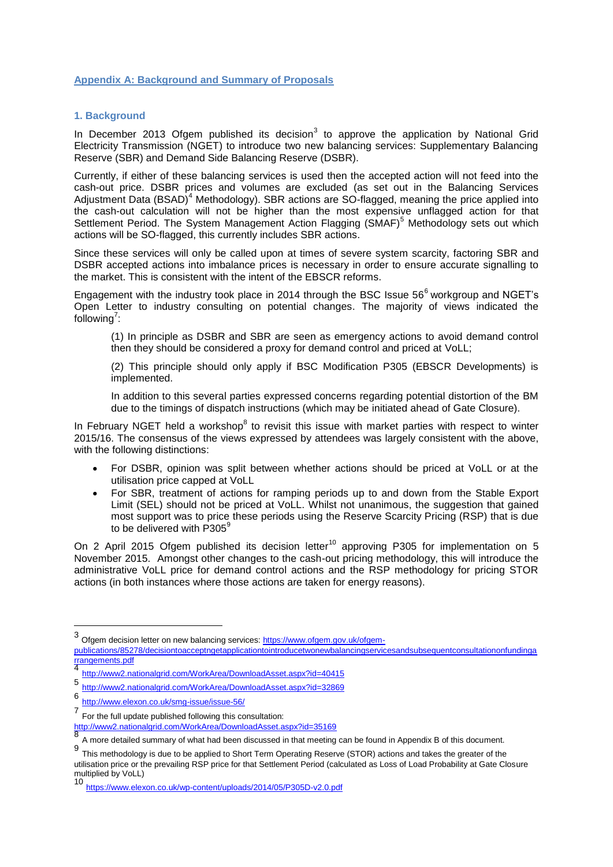# **Appendix A: Background and Summary of Proposals**

#### **1. Background**

In December 2013 Ofgem published its decision $3$  to approve the application by National Grid Electricity Transmission (NGET) to introduce two new balancing services: Supplementary Balancing Reserve (SBR) and Demand Side Balancing Reserve (DSBR).

Currently, if either of these balancing services is used then the accepted action will not feed into the cash-out price. DSBR prices and volumes are excluded (as set out in the Balancing Services Adjustment Data (BSAD)<sup>4</sup> Methodology). SBR actions are SO-flagged, meaning the price applied into the cash-out calculation will not be higher than the most expensive unflagged action for that Settlement Period. The System Management Action Flagging (SMAF)<sup>5</sup> Methodology sets out which actions will be SO-flagged, this currently includes SBR actions.

Since these services will only be called upon at times of severe system scarcity, factoring SBR and DSBR accepted actions into imbalance prices is necessary in order to ensure accurate signalling to the market. This is consistent with the intent of the EBSCR reforms.

Engagement with the industry took place in 2014 through the BSC Issue  $56<sup>6</sup>$  workgroup and NGET's Open Letter to industry consulting on potential changes. The majority of views indicated the following<sup>7</sup>:

(1) In principle as DSBR and SBR are seen as emergency actions to avoid demand control then they should be considered a proxy for demand control and priced at VoLL;

(2) This principle should only apply if BSC Modification P305 (EBSCR Developments) is implemented.

In addition to this several parties expressed concerns regarding potential distortion of the BM due to the timings of dispatch instructions (which may be initiated ahead of Gate Closure).

In February NGET held a workshop<sup>8</sup> to revisit this issue with market parties with respect to winter 2015/16. The consensus of the views expressed by attendees was largely consistent with the above, with the following distinctions:

- For DSBR, opinion was split between whether actions should be priced at VoLL or at the utilisation price capped at VoLL
- For SBR, treatment of actions for ramping periods up to and down from the Stable Export Limit (SEL) should not be priced at VoLL. Whilst not unanimous, the suggestion that gained most support was to price these periods using the Reserve Scarcity Pricing (RSP) that is due to be delivered with P305<sup>9</sup>

On 2 April 2015 Ofgem published its decision letter<sup>10</sup> approving P305 for implementation on 5 November 2015. Amongst other changes to the cash-out pricing methodology, this will introduce the administrative VoLL price for demand control actions and the RSP methodology for pricing STOR actions (in both instances where those actions are taken for energy reasons).

 3 Ofgem decision letter on new balancing services[: https://www.ofgem.gov.uk/ofgem-](https://www.ofgem.gov.uk/ofgem-publications/85278/decisiontoacceptngetapplicationtointroducetwonewbalancingservicesandsubsequentconsultationonfundingarrangements.pdf)

[publications/85278/decisiontoacceptngetapplicationtointroducetwonewbalancingservicesandsubsequentconsultationonfundinga](https://www.ofgem.gov.uk/ofgem-publications/85278/decisiontoacceptngetapplicationtointroducetwonewbalancingservicesandsubsequentconsultationonfundingarrangements.pdf) [rrangements.pdf](https://www.ofgem.gov.uk/ofgem-publications/85278/decisiontoacceptngetapplicationtointroducetwonewbalancingservicesandsubsequentconsultationonfundingarrangements.pdf) 4

<http://www2.nationalgrid.com/WorkArea/DownloadAsset.aspx?id=40415> 5

<http://www2.nationalgrid.com/WorkArea/DownloadAsset.aspx?id=32869>

<sup>6</sup> <http://www.elexon.co.uk/smg-issue/issue-56/>

<sup>7</sup> For the full update published following this consultation:

<http://www2.nationalgrid.com/WorkArea/DownloadAsset.aspx?id=35169>

<sup>8</sup> A more detailed summary of what had been discussed in that meeting can be found in Appendix B of this document.

<sup>9</sup> This methodology is due to be applied to Short Term Operating Reserve (STOR) actions and takes the greater of the utilisation price or the prevailing RSP price for that Settlement Period (calculated as Loss of Load Probability at Gate Closure multiplied by VoLL)

<sup>10</sup> <https://www.elexon.co.uk/wp-content/uploads/2014/05/P305D-v2.0.pdf>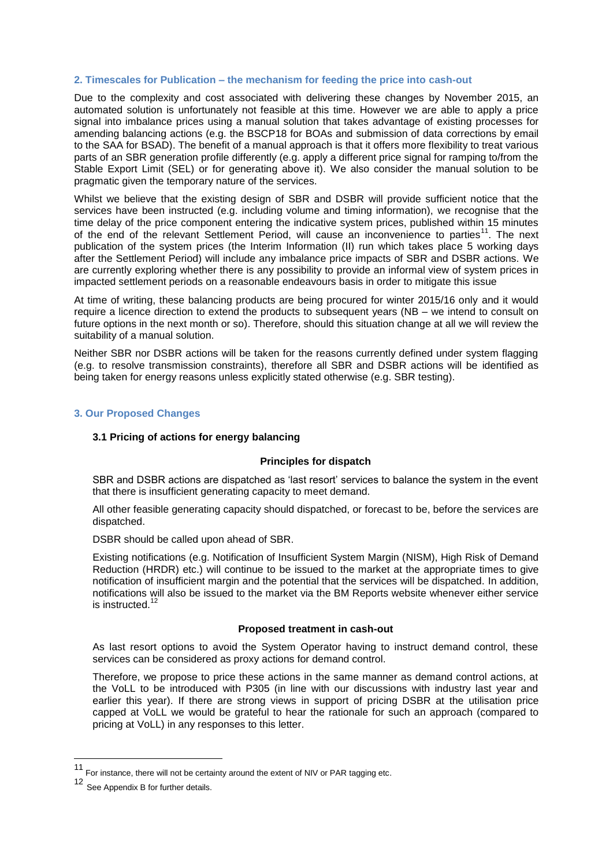#### **2. Timescales for Publication – the mechanism for feeding the price into cash-out**

Due to the complexity and cost associated with delivering these changes by November 2015, an automated solution is unfortunately not feasible at this time. However we are able to apply a price signal into imbalance prices using a manual solution that takes advantage of existing processes for amending balancing actions (e.g. the BSCP18 for BOAs and submission of data corrections by email to the SAA for BSAD). The benefit of a manual approach is that it offers more flexibility to treat various parts of an SBR generation profile differently (e.g. apply a different price signal for ramping to/from the Stable Export Limit (SEL) or for generating above it). We also consider the manual solution to be pragmatic given the temporary nature of the services.

Whilst we believe that the existing design of SBR and DSBR will provide sufficient notice that the services have been instructed (e.g. including volume and timing information), we recognise that the time delay of the price component entering the indicative system prices, published within 15 minutes of the end of the relevant Settlement Period, will cause an inconvenience to parties<sup>11</sup>. The next publication of the system prices (the Interim Information (II) run which takes place 5 working days after the Settlement Period) will include any imbalance price impacts of SBR and DSBR actions. We are currently exploring whether there is any possibility to provide an informal view of system prices in impacted settlement periods on a reasonable endeavours basis in order to mitigate this issue

At time of writing, these balancing products are being procured for winter 2015/16 only and it would require a licence direction to extend the products to subsequent years (NB – we intend to consult on future options in the next month or so). Therefore, should this situation change at all we will review the suitability of a manual solution.

Neither SBR nor DSBR actions will be taken for the reasons currently defined under system flagging (e.g. to resolve transmission constraints), therefore all SBR and DSBR actions will be identified as being taken for energy reasons unless explicitly stated otherwise (e.g. SBR testing).

## **3. Our Proposed Changes**

#### **3.1 Pricing of actions for energy balancing**

#### **Principles for dispatch**

SBR and DSBR actions are dispatched as 'last resort' services to balance the system in the event that there is insufficient generating capacity to meet demand.

All other feasible generating capacity should dispatched, or forecast to be, before the services are dispatched.

DSBR should be called upon ahead of SBR.

Existing notifications (e.g. Notification of Insufficient System Margin (NISM), High Risk of Demand Reduction (HRDR) etc.) will continue to be issued to the market at the appropriate times to give notification of insufficient margin and the potential that the services will be dispatched. In addition, notifications will also be issued to the market via the BM Reports website whenever either service is instructed. $12$ 

#### **Proposed treatment in cash-out**

As last resort options to avoid the System Operator having to instruct demand control, these services can be considered as proxy actions for demand control.

Therefore, we propose to price these actions in the same manner as demand control actions, at the VoLL to be introduced with P305 (in line with our discussions with industry last year and earlier this year). If there are strong views in support of pricing DSBR at the utilisation price capped at VoLL we would be grateful to hear the rationale for such an approach (compared to pricing at VoLL) in any responses to this letter.

1

<sup>11</sup> For instance, there will not be certainty around the extent of NIV or PAR tagging etc.

<sup>12</sup> See Appendix B for further details.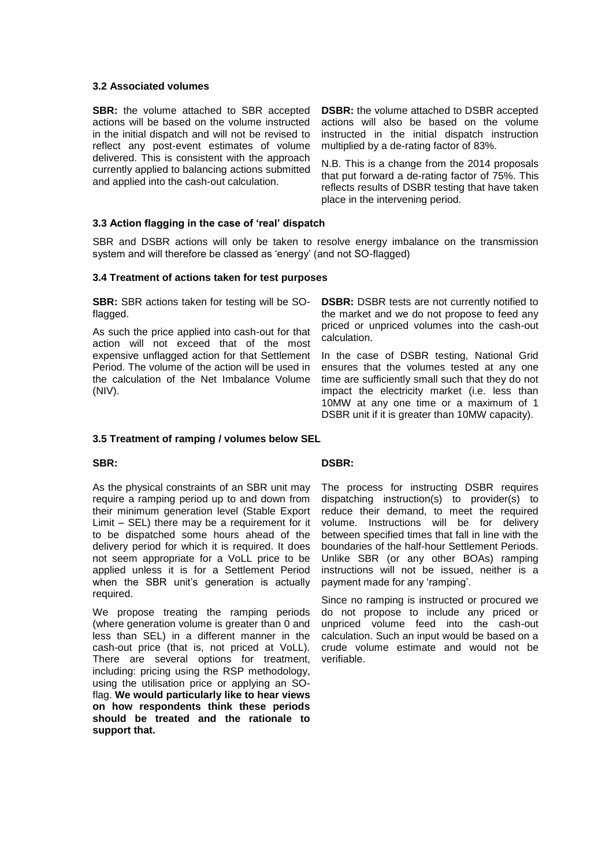#### **3.2 Associated volumes**

**SBR:** the volume attached to SBR accepted actions will be based on the volume instructed in the initial dispatch and will not be revised to reflect any post-event estimates of volume delivered. This is consistent with the approach currently applied to balancing actions submitted and applied into the cash-out calculation.

**DSBR:** the volume attached to DSBR accepted actions will also be based on the volume instructed in the initial dispatch instruction multiplied by a de-rating factor of 83%.

N.B. This is a change from the 2014 proposals that put forward a de-rating factor of 75%. This reflects results of DSBR testing that have taken place in the intervening period.

## **3.3 Action flagging in the case of 'real' dispatch**

SBR and DSBR actions will only be taken to resolve energy imbalance on the transmission system and will therefore be classed as 'energy' (and not SO-flagged)

#### **3.4 Treatment of actions taken for test purposes**

**SBR:** SBR actions taken for testing will be SOflagged.

As such the price applied into cash-out for that action will not exceed that of the most expensive unflagged action for that Settlement Period. The volume of the action will be used in the calculation of the Net Imbalance Volume (NIV).

**DSBR:** DSBR tests are not currently notified to the market and we do not propose to feed any priced or unpriced volumes into the cash-out calculation.

In the case of DSBR testing, National Grid ensures that the volumes tested at any one time are sufficiently small such that they do not impact the electricity market (i.e. less than 10MW at any one time or a maximum of 1 DSBR unit if it is greater than 10MW capacity).

#### **3.5 Treatment of ramping / volumes below SEL**

As the physical constraints of an SBR unit may require a ramping period up to and down from their minimum generation level (Stable Export Limit – SEL) there may be a requirement for it to be dispatched some hours ahead of the delivery period for which it is required. It does not seem appropriate for a VoLL price to be applied unless it is for a Settlement Period when the SBR unit's generation is actually required.

We propose treating the ramping periods (where generation volume is greater than 0 and less than SEL) in a different manner in the cash-out price (that is, not priced at VoLL). There are several options for treatment, including: pricing using the RSP methodology, using the utilisation price or applying an SOflag. **We would particularly like to hear views on how respondents think these periods should be treated and the rationale to support that.**

# **SBR: DSBR:**

The process for instructing DSBR requires dispatching instruction(s) to provider(s) to reduce their demand, to meet the required volume. Instructions will be for delivery between specified times that fall in line with the boundaries of the half-hour Settlement Periods. Unlike SBR (or any other BOAs) ramping instructions will not be issued, neither is a payment made for any 'ramping'.

Since no ramping is instructed or procured we do not propose to include any priced or unpriced volume feed into the cash-out calculation. Such an input would be based on a crude volume estimate and would not be verifiable.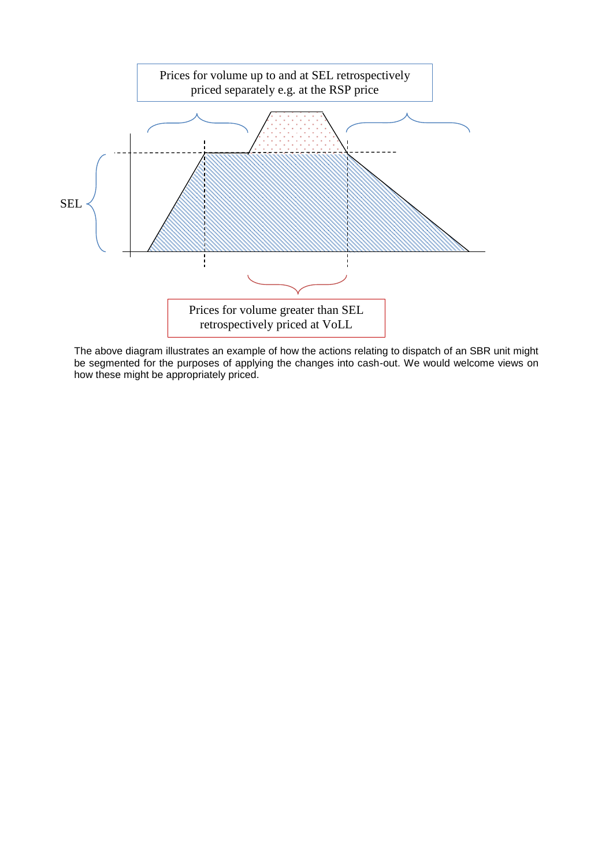

The above diagram illustrates an example of how the actions relating to dispatch of an SBR unit might be segmented for the purposes of applying the changes into cash-out. We would welcome views on how these might be appropriately priced.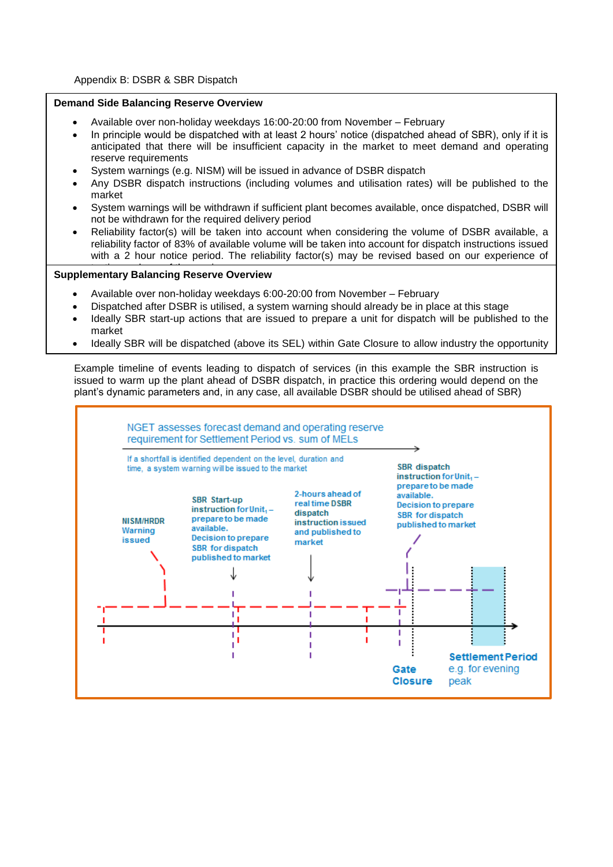#### **Demand Side Balancing Reserve Overview**

- Available over non-holiday weekdays 16:00-20:00 from November February
- In principle would be dispatched with at least 2 hours' notice (dispatched ahead of SBR), only if it is anticipated that there will be insufficient capacity in the market to meet demand and operating reserve requirements
- System warnings (e.g. NISM) will be issued in advance of DSBR dispatch
- Any DSBR dispatch instructions (including volumes and utilisation rates) will be published to the market
- System warnings will be withdrawn if sufficient plant becomes available, once dispatched, DSBR will not be withdrawn for the required delivery period
- Reliability factor(s) will be taken into account when considering the volume of DSBR available, a reliability factor of 83% of available volume will be taken into account for dispatch instructions issued with a 2 hour notice period. The reliability factor(s) may be revised based on our experience of

# **Supplementary Balancing Reserve Overview**

to resolve the shortfall of the shortfall of the shortfall of the shortfall of the shortfall of the shortfall

- Available over non-holiday weekdays 6:00-20:00 from November February
- Dispatched after DSBR is utilised, a system warning should already be in place at this stage
- Ideally SBR start-up actions that are issued to prepare a unit for dispatch will be published to the market
- Ideally SBR will be dispatched (above its SEL) within Gate Closure to allow industry the opportunity

Example timeline of events leading to dispatch of services (in this example the SBR instruction is issued to warm up the plant ahead of DSBR dispatch, in practice this ordering would depend on the plant's dynamic parameters and, in any case, all available DSBR should be utilised ahead of SBR)

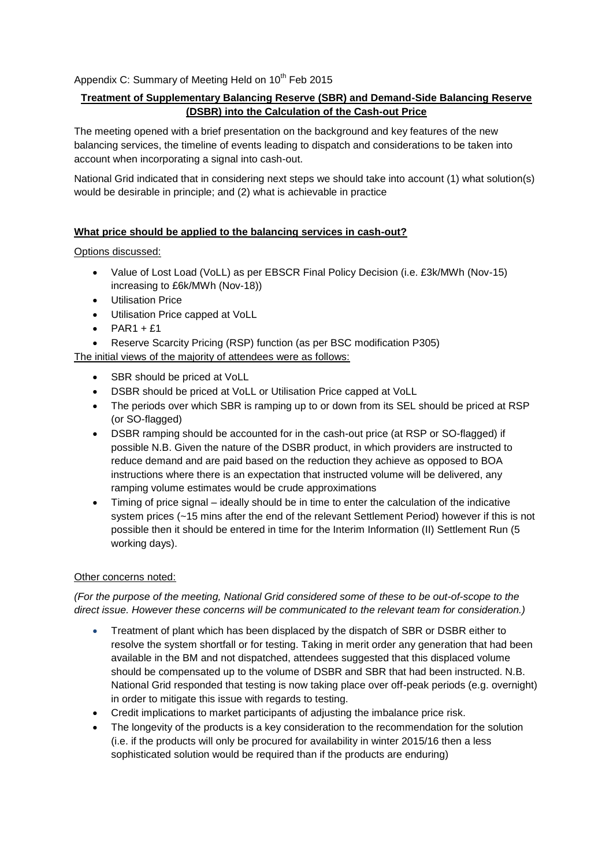# Appendix C: Summary of Meeting Held on 10<sup>th</sup> Feb 2015

# **Treatment of Supplementary Balancing Reserve (SBR) and Demand-Side Balancing Reserve (DSBR) into the Calculation of the Cash-out Price**

The meeting opened with a brief presentation on the background and key features of the new balancing services, the timeline of events leading to dispatch and considerations to be taken into account when incorporating a signal into cash-out.

National Grid indicated that in considering next steps we should take into account (1) what solution(s) would be desirable in principle; and (2) what is achievable in practice

# **What price should be applied to the balancing services in cash-out?**

# Options discussed:

- Value of Lost Load (VoLL) as per EBSCR Final Policy Decision (i.e. £3k/MWh (Nov-15) increasing to £6k/MWh (Nov-18))
- Utilisation Price
- Utilisation Price capped at VoLL
- $\bullet$  PAR1 + £1
- Reserve Scarcity Pricing (RSP) function (as per BSC modification P305)
- The initial views of the majority of attendees were as follows:
	- SBR should be priced at VoLL
	- DSBR should be priced at VoLL or Utilisation Price capped at VoLL
	- The periods over which SBR is ramping up to or down from its SEL should be priced at RSP (or SO-flagged)
	- DSBR ramping should be accounted for in the cash-out price (at RSP or SO-flagged) if possible N.B. Given the nature of the DSBR product, in which providers are instructed to reduce demand and are paid based on the reduction they achieve as opposed to BOA instructions where there is an expectation that instructed volume will be delivered, any ramping volume estimates would be crude approximations
	- Timing of price signal ideally should be in time to enter the calculation of the indicative system prices (~15 mins after the end of the relevant Settlement Period) however if this is not possible then it should be entered in time for the Interim Information (II) Settlement Run (5 working days).

# Other concerns noted:

*(For the purpose of the meeting, National Grid considered some of these to be out-of-scope to the direct issue. However these concerns will be communicated to the relevant team for consideration.)*

- Treatment of plant which has been displaced by the dispatch of SBR or DSBR either to resolve the system shortfall or for testing. Taking in merit order any generation that had been available in the BM and not dispatched, attendees suggested that this displaced volume should be compensated up to the volume of DSBR and SBR that had been instructed. N.B. National Grid responded that testing is now taking place over off-peak periods (e.g. overnight) in order to mitigate this issue with regards to testing.
- Credit implications to market participants of adjusting the imbalance price risk.
- The longevity of the products is a key consideration to the recommendation for the solution (i.e. if the products will only be procured for availability in winter 2015/16 then a less sophisticated solution would be required than if the products are enduring)